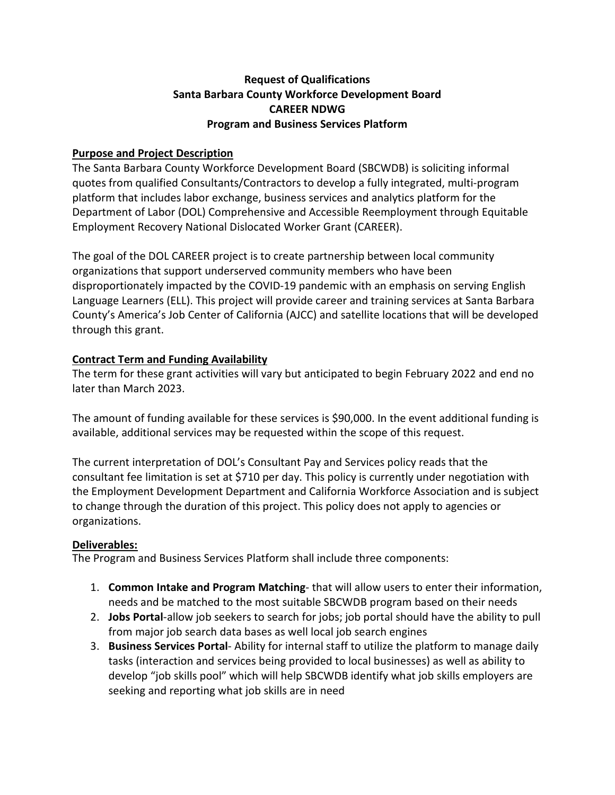# **Request of Qualifications Santa Barbara County Workforce Development Board CAREER NDWG Program and Business Services Platform**

### **Purpose and Project Description**

The Santa Barbara County Workforce Development Board (SBCWDB) is soliciting informal quotes from qualified Consultants/Contractors to develop a fully integrated, multi-program platform that includes labor exchange, business services and analytics platform for the Department of Labor (DOL) Comprehensive and Accessible Reemployment through Equitable Employment Recovery National Dislocated Worker Grant (CAREER).

The goal of the DOL CAREER project is to create partnership between local community organizations that support underserved community members who have been disproportionately impacted by the COVID-19 pandemic with an emphasis on serving English Language Learners (ELL). This project will provide career and training services at Santa Barbara County's America's Job Center of California (AJCC) and satellite locations that will be developed through this grant.

## **Contract Term and Funding Availability**

The term for these grant activities will vary but anticipated to begin February 2022 and end no later than March 2023.

The amount of funding available for these services is \$90,000. In the event additional funding is available, additional services may be requested within the scope of this request.

The current interpretation of DOL's Consultant Pay and Services policy reads that the consultant fee limitation is set at \$710 per day. This policy is currently under negotiation with the Employment Development Department and California Workforce Association and is subject to change through the duration of this project. This policy does not apply to agencies or organizations.

## **Deliverables:**

The Program and Business Services Platform shall include three components:

- 1. **Common Intake and Program Matching** that will allow users to enter their information, needs and be matched to the most suitable SBCWDB program based on their needs
- 2. **Jobs Portal**-allow job seekers to search for jobs; job portal should have the ability to pull from major job search data bases as well local job search engines
- 3. **Business Services Portal** Ability for internal staff to utilize the platform to manage daily tasks (interaction and services being provided to local businesses) as well as ability to develop "job skills pool" which will help SBCWDB identify what job skills employers are seeking and reporting what job skills are in need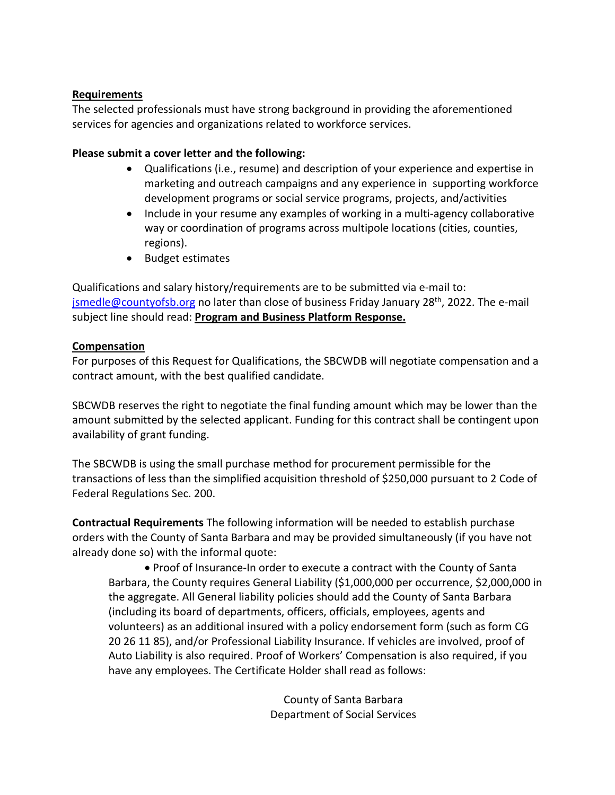#### **Requirements**

The selected professionals must have strong background in providing the aforementioned services for agencies and organizations related to workforce services.

### **Please submit a cover letter and the following:**

- Qualifications (i.e., resume) and description of your experience and expertise in marketing and outreach campaigns and any experience in supporting workforce development programs or social service programs, projects, and/activities
- Include in your resume any examples of working in a multi-agency collaborative way or coordination of programs across multipole locations (cities, counties, regions).
- Budget estimates

Qualifications and salary history/requirements are to be submitted via e-mail to: [jsmedle@countyofsb.org](mailto:jsmedle@countyofsb.org) no later than close of business Friday January 28<sup>th</sup>, 2022. The e-mail subject line should read: **Program and Business Platform Response.**

## **Compensation**

For purposes of this Request for Qualifications, the SBCWDB will negotiate compensation and a contract amount, with the best qualified candidate.

SBCWDB reserves the right to negotiate the final funding amount which may be lower than the amount submitted by the selected applicant. Funding for this contract shall be contingent upon availability of grant funding.

The SBCWDB is using the small purchase method for procurement permissible for the transactions of less than the simplified acquisition threshold of \$250,000 pursuant to 2 Code of Federal Regulations Sec. 200.

**Contractual Requirements** The following information will be needed to establish purchase orders with the County of Santa Barbara and may be provided simultaneously (if you have not already done so) with the informal quote:

 Proof of Insurance-In order to execute a contract with the County of Santa Barbara, the County requires General Liability (\$1,000,000 per occurrence, \$2,000,000 in the aggregate. All General liability policies should add the County of Santa Barbara (including its board of departments, officers, officials, employees, agents and volunteers) as an additional insured with a policy endorsement form (such as form CG 20 26 11 85), and/or Professional Liability Insurance. If vehicles are involved, proof of Auto Liability is also required. Proof of Workers' Compensation is also required, if you have any employees. The Certificate Holder shall read as follows:

> County of Santa Barbara Department of Social Services